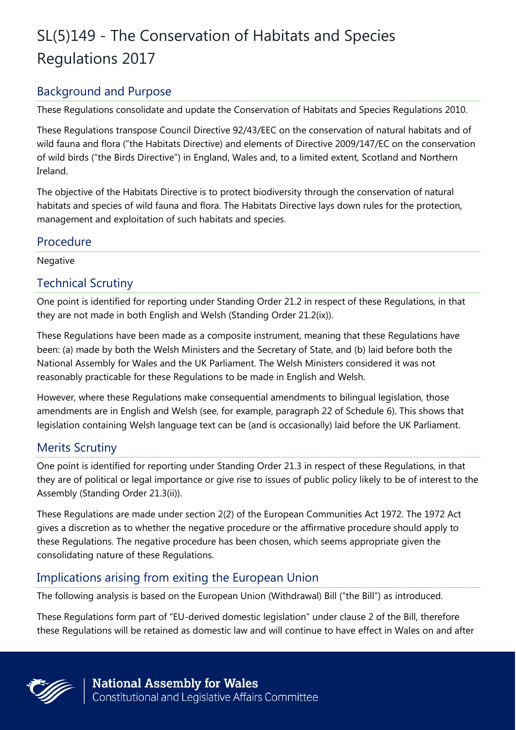# SL(5)149 - The Conservation of Habitats and Species Regulations 2017

## Background and Purpose

These Regulations consolidate and update the Conservation of Habitats and Species Regulations 2010.

These Regulations transpose Council Directive 92/43/EEC on the conservation of natural habitats and of wild fauna and flora ("the Habitats Directive) and elements of Directive 2009/147/EC on the conservation of wild birds ("the Birds Directive") in England, Wales and, to a limited extent, Scotland and Northern Ireland.

The objective of the Habitats Directive is to protect biodiversity through the conservation of natural habitats and species of wild fauna and flora. The Habitats Directive lays down rules for the protection, management and exploitation of such habitats and species.

### Procedure

Negative

## Technical Scrutiny

One point is identified for reporting under Standing Order 21.2 in respect of these Regulations, in that they are not made in both English and Welsh (Standing Order 21.2(ix)).

These Regulations have been made as a composite instrument, meaning that these Regulations have been: (a) made by both the Welsh Ministers and the Secretary of State, and (b) laid before both the National Assembly for Wales and the UK Parliament. The Welsh Ministers considered it was not reasonably practicable for these Regulations to be made in English and Welsh.

However, where these Regulations make consequential amendments to bilingual legislation, those amendments are in English and Welsh (see, for example, paragraph 22 of Schedule 6). This shows that legislation containing Welsh language text can be (and is occasionally) laid before the UK Parliament.

# Merits Scrutiny

One point is identified for reporting under Standing Order 21.3 in respect of these Regulations, in that they are of political or legal importance or give rise to issues of public policy likely to be of interest to the Assembly (Standing Order 21.3(ii)).

These Regulations are made under section 2(2) of the European Communities Act 1972. The 1972 Act gives a discretion as to whether the negative procedure or the affirmative procedure should apply to these Regulations. The negative procedure has been chosen, which seems appropriate given the consolidating nature of these Regulations.

## Implications arising from exiting the European Union

The following analysis is based on the European Union (Withdrawal) Bill ("the Bill") as introduced.

These Regulations form part of "EU-derived domestic legislation" under clause 2 of the Bill, therefore these Regulations will be retained as domestic law and will continue to have effect in Wales on and after